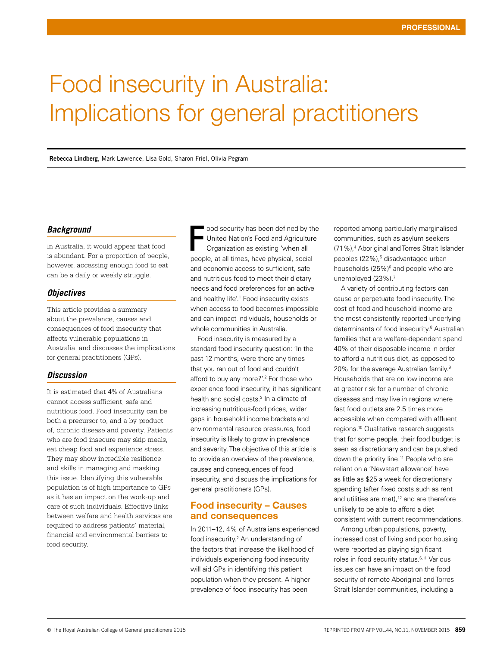# Food insecurity in Australia: Implications for general practitioners

**Rebecca Lindberg**, Mark Lawrence, Lisa Gold, Sharon Friel, Olivia Pegram

#### *Background*

In Australia, it would appear that food is abundant. For a proportion of people, however, accessing enough food to eat can be a daily or weekly struggle.

#### *Objectives*

This article provides a summary about the prevalence, causes and consequences of food insecurity that affects vulnerable populations in Australia, and discusses the implications for general practitioners (GPs).

#### *Discussion*

It is estimated that 4% of Australians cannot access sufficient, safe and nutritious food. Food insecurity can be both a precursor to, and a by-product of, chronic disease and poverty. Patients who are food insecure may skip meals, eat cheap food and experience stress. They may show incredible resilience and skills in managing and masking this issue. Identifying this vulnerable population is of high importance to GPs as it has an impact on the work-up and care of such individuals. Effective links between welfare and health services are required to address patients' material, financial and environmental barriers to food security.

ood security has been defined by the United Nation's Food and Agriculture Organization as existing 'when all people, at all times, have physical, social and economic access to sufficient, safe and nutritious food to meet their dietary needs and food preferences for an active and healthy life'.<sup>1</sup> Food insecurity exists when access to food becomes impossible and can impact individuals, households or whole communities in Australia. F

Food insecurity is measured by a standard food insecurity question: 'In the past 12 months, were there any times that you ran out of food and couldn't afford to buy any more?'.2 For those who experience food insecurity, it has significant health and social costs.<sup>3</sup> In a climate of increasing nutritious-food prices, wider gaps in household income brackets and environmental resource pressures, food insecurity is likely to grow in prevalence and severity. The objective of this article is to provide an overview of the prevalence, causes and consequences of food insecurity, and discuss the implications for general practitioners (GPs).

# Food insecurity – Causes and consequences

In 2011–12, 4% of Australians experienced food insecurity.<sup>2</sup> An understanding of the factors that increase the likelihood of individuals experiencing food insecurity will aid GPs in identifying this patient population when they present. A higher prevalence of food insecurity has been

reported among particularly marginalised communities, such as asylum seekers (71%),4 Aboriginal and Torres Strait Islander peoples (22%),<sup>5</sup> disadvantaged urban households (25%)<sup>6</sup> and people who are unemployed (23%).<sup>7</sup>

A variety of contributing factors can cause or perpetuate food insecurity. The cost of food and household income are the most consistently reported underlying determinants of food insecurity.<sup>8</sup> Australian families that are welfare-dependent spend 40% of their disposable income in order to afford a nutritious diet, as opposed to 20% for the average Australian family.9 Households that are on low income are at greater risk for a number of chronic diseases and may live in regions where fast food outlets are 2.5 times more accessible when compared with affluent regions.10 Qualitative research suggests that for some people, their food budget is seen as discretionary and can be pushed down the priority line.11 People who are reliant on a 'Newstart allowance' have as little as \$25 a week for discretionary spending (after fixed costs such as rent and utilities are met),<sup>12</sup> and are therefore unlikely to be able to afford a diet consistent with current recommendations.

Among urban populations, poverty, increased cost of living and poor housing were reported as playing significant roles in food security status.6,11 Various issues can have an impact on the food security of remote Aboriginal and Torres Strait Islander communities, including a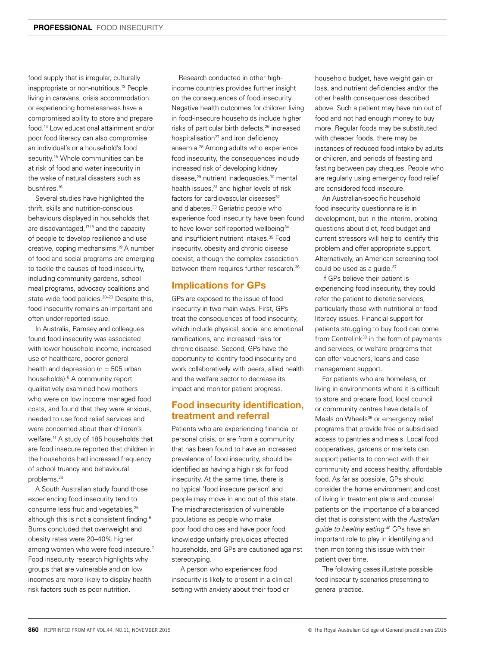food supply that is irregular, culturally inappropriate or non-nutritious.13 People living in caravans, crisis accommodation or experiencing homelessness have a compromised ability to store and prepare food.14 Low educational attainment and/or poor food literacy can also compromise an individual's or a household's food security.<sup>15</sup> Whole communities can be at risk of food and water insecurity in the wake of natural disasters such as bushfires.16

Several studies have highlighted the thrift, skills and nutrition-conscious behaviours displayed in households that are disadvantaged,<sup>17,18</sup> and the capacity of people to develop resilience and use creative, coping mechansims.19 A number of food and social programs are emerging to tackle the causes of food insecuirty, including community gardens, school meal programs, advocacy coalitions and state-wide food policies.<sup>20-23</sup> Despite this, food insecurity remains an important and often under-reported issue.

In Australia, Ramsey and colleagues found food insecurity was associated with lower household income, increased use of healthcare, poorer general health and depression ( $n = 505$  urban households).<sup>6</sup> A community report qualitatively examined how mothers who were on low income managed food costs, and found that they were anxious, needed to use food relief services and were concerned about their children's welfare.11 A study of 185 households that are food insecure reported that children in the households had increased frequency of school truancy and behavioural problems.24

A South Australian study found those experiencing food insecurity tend to consume less fruit and vegetables,<sup>25</sup> although this is not a consistent finding.<sup>6</sup> Burns concluded that overweight and obesity rates were 20–40% higher among women who were food insecure.7 Food insecurity research highlights why groups that are vulnerable and on low incomes are more likely to display health risk factors such as poor nutrition.

Research conducted in other highincome countries provides further insight on the consequences of food insecurity. Negative health outcomes for children living in food-insecure households include higher risks of particular birth defects.<sup>26</sup> increased hospitalisation<sup>27</sup> and iron deficiency anaemia.28 Among adults who experience food insecurity, the consequences include increased risk of developing kidney disease,<sup>29</sup> nutrient inadequacies,<sup>30</sup> mental health issues.<sup>31</sup> and higher levels of risk factors for cardiovascular diseases<sup>32</sup> and diabetes.<sup>33</sup> Geriatric people who experience food insecurity have been found to have lower self-reported wellbeing<sup>34</sup> and insufficient nutrient intakes.35 Food insecurity, obesity and chronic disease coexist, although the complex association between them requires further research.<sup>36</sup>

#### Implications for GPs

GPs are exposed to the issue of food insecurity in two main ways. First, GPs treat the consequences of food insecurity, which include physical, social and emotional ramifications, and increased risks for chronic disease. Second, GPs have the opportunity to identify food insecurity and work collaboratively with peers, allied health and the welfare sector to decrease its impact and monitor patient progress.

# Food insecurity identification, treatment and referral

Patients who are experiencing financial or personal crisis, or are from a community that has been found to have an increased prevalence of food insecurity, should be identified as having a high risk for food insecurity. At the same time, there is no typical 'food insecure person' and people may move in and out of this state. The mischaracterisation of vulnerable populations as people who make poor food choices and have poor food knowledge unfairly prejudices affected households, and GPs are cautioned against stereotyping.

 A person who experiences food insecurity is likely to present in a clinical setting with anxiety about their food or

household budget, have weight gain or loss, and nutrient deficiencies and/or the other health consequences described above. Such a patient may have run out of food and not had enough money to buy more. Regular foods may be substituted with cheaper foods, there may be instances of reduced food intake by adults or children, and periods of feasting and fasting between pay cheques. People who are regularly using emergency food relief are considered food insecure.

An Australian-specific household food insecurity questionnaire is in development, but in the interim, probing questions about diet, food budget and current stressors will help to identify this problem and offer appropriate support. Alternatively, an American screening tool could be used as a guide.<sup>37</sup>

If GPs believe their patient is experiencing food insecurity, they could refer the patient to dietetic services, particularly those with nutritional or food literacy issues. Financial support for patients struggling to buy food can come from Centrelink<sup>38</sup> in the form of payments and services, or welfare programs that can offer vouchers, loans and case management support.

For patients who are homeless, or living in environments where it is difficult to store and prepare food, local council or community centres have details of Meals on Wheels<sup>39</sup> or emergency relief programs that provide free or subsidised access to pantries and meals. Local food cooperatives, gardens or markets can support patients to connect with their community and access healthy, affordable food. As far as possible, GPs should consider the home environment and cost of living in treatment plans and counsel patients on the importance of a balanced diet that is consistent with the *Australian guide to healthy eating*. 40 GPs have an important role to play in identifying and then monitoring this issue with their patient over time.

The following cases illustrate possible food insecurity scenarios presenting to general practice.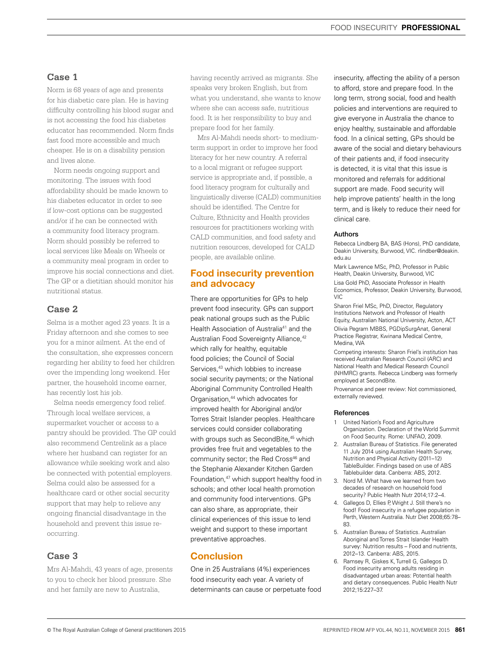# **Case 1**

Norm is 68 years of age and presents for his diabetic care plan. He is having difficulty controlling his blood sugar and is not accessing the food his diabetes educator has recommended. Norm finds fast food more accessible and much cheaper. He is on a disability pension and lives alone.

Norm needs ongoing support and monitoring. The issues with food affordability should be made known to his diabetes educator in order to see if low-cost options can be suggested and/or if he can be connected with a community food literacy program. Norm should possibly be referred to local services like Meals on Wheels or a community meal program in order to improve his social connections and diet. The GP or a dietitian should monitor his nutritional status.

#### **Case 2**

Selma is a mother aged 23 years. It is a Friday afternoon and she comes to see you for a minor ailment. At the end of the consultation, she expresses concern regarding her ability to feed her children over the impending long weekend. Her partner, the household income earner, has recently lost his job.

Selma needs emergency food relief. Through local welfare services, a supermarket voucher or access to a pantry should be provided. The GP could also recommend Centrelink as a place where her husband can register for an allowance while seeking work and also be connected with potential employers. Selma could also be assessed for a healthcare card or other social security support that may help to relieve any ongoing financial disadvantage in the household and prevent this issue reoccurring.

#### **Case 3**

Mrs Al-Mahdi, 43 years of age, presents to you to check her blood pressure. She and her family are new to Australia,

having recently arrived as migrants. She speaks very broken English, but from what you understand, she wants to know where she can access safe, nutritious food. It is her responsibility to buy and prepare food for her family.

Mrs Al-Mahdi needs short- to mediumterm support in order to improve her food literacy for her new country. A referral to a local migrant or refugee support service is appropriate and, if possible, a food literacy program for culturally and linguistically diverse (CALD) communities should be identified. The Centre for Culture, Ethnicity and Health provides resources for practitioners working with CALD communities, and food safety and nutrition resources, developed for CALD people, are available online.

# Food insecurity prevention and advocacy

There are opportunities for GPs to help prevent food insecurity. GPs can support peak national groups such as the Public Health Association of Australia<sup>41</sup> and the Australian Food Sovereignty Alliance,<sup>42</sup> which rally for healthy, equitable food policies; the Council of Social Services.<sup>43</sup> which lobbies to increase social security payments; or the National Aboriginal Community Controlled Health Organisation,<sup>44</sup> which advocates for improved health for Aboriginal and/or Torres Strait Islander peoples. Healthcare services could consider collaborating with groups such as SecondBite,<sup>45</sup> which provides free fruit and vegetables to the community sector; the Red Cross<sup>46</sup> and the Stephanie Alexander Kitchen Garden Foundation,<sup>47</sup> which support healthy food in schools; and other local health promotion and community food interventions. GPs can also share, as appropriate, their clinical experiences of this issue to lend weight and support to these important preventative approaches.

# **Conclusion**

One in 25 Australians (4%) experiences food insecurity each year. A variety of determinants can cause or perpetuate food insecurity, affecting the ability of a person to afford, store and prepare food. In the long term, strong social, food and health policies and interventions are required to give everyone in Australia the chance to enjoy healthy, sustainable and affordable food. In a clinical setting, GPs should be aware of the social and dietary behaviours of their patients and, if food insecurity is detected, it is vital that this issue is monitored and referrals for additional support are made. Food security will help improve patients' health in the long term, and is likely to reduce their need for clinical care.

#### Authors

Rebecca Lindberg BA, BAS (Hons), PhD candidate, Deakin University, Burwood, VIC. rlindber@deakin. edu.au

Mark Lawrence MSc, PhD, Professor in Public Health, Deakin University, Burwood, VIC

Lisa Gold PhD, Associate Professor in Health Economics, Professor, Deakin University, Burwood, VIC

Sharon Friel MSc, PhD, Director, Regulatory Institutions Network and Professor of Health Equity, Australian National University, Acton, ACT Olivia Pegram MBBS, PGDipSurgAnat, General Practice Registrar, Kwinana Medical Centre,

Medina, WA

Competing interests: Sharon Friel's institution has received Australian Research Council (ARC) and National Health and Medical Research Council (NHMRC) grants. Rebecca Lindberg was formerly employed at SecondBite.

Provenance and peer review: Not commissioned, externally reviewed.

#### References

- 1 United Nation's Food and Agriculture Organization. Declaration of the World Summit on Food Security. Rome: UNFAO, 2009.
- 2. Australian Bureau of Statistics. File generated 11 July 2014 using Australian Health Survey, Nutrition and Physical Activity (2011–12) TableBuilder. Findings based on use of ABS Tablebuilder data. Canberra: ABS, 2012.
- 3. Nord M. What have we learned from two decades of research on household food security? Public Health Nutr 2014;17:2-4.
- 4. Gallegos D, Ellies P, Wright J. Still there's no food! Food insecurity in a refugee population in Perth, Western Australia. Nutr Diet 2008;65:78– 83.
- 5. Australian Bureau of Statistics. Australian Aboriginal and Torres Strait Islander Health survey: Nutrition results – Food and nutrients, 2012–13. Canberra: ABS, 2015.
- 6. Ramsey R, Giskes K, Turrell G, Gallegos D. Food insecurity among adults residing in disadvantaged urban areas: Potential health and dietary consequences. Public Health Nutr 2012;15:227–37.